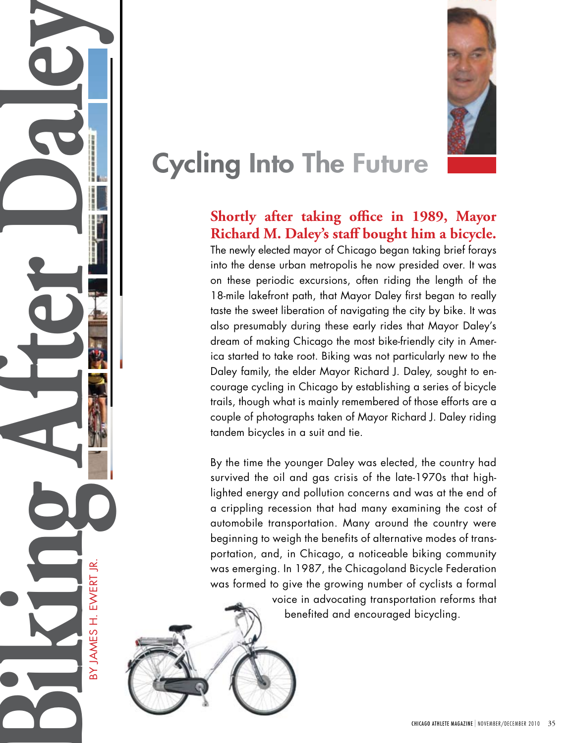



## **Shortly after taking office in 1989, Mayor Richard M. Daley's staff bought him a bicycle.**

the newly elected mayor of Chicago began taking brief forays into the dense urban metropolis he now presided over. It was on these periodic excursions, often riding the length of the 18-mile lakefront path, that Mayor Daley first began to really taste the sweet liberation of navigating the city by bike. It was also presumably during these early rides that mayor Daley's dream of making Chicago the most bike-friendly city in America started to take root. Biking was not particularly new to the Daley family, the elder Mayor Richard J. Daley, sought to encourage cycling in Chicago by establishing a series of bicycle trails, though what is mainly remembered of those efforts are a couple of photographs taken of Mayor Richard J. Daley riding tandem bicycles in a suit and tie.

By the time the younger Daley was elected, the country had survived the oil and gas crisis of the late-1970s that highlighted energy and pollution concerns and was at the end of a crippling recession that had many examining the cost of automobile transportation. many around the country were beginning to weigh the benefits of alternative modes of transportation, and, in Chicago, a noticeable biking community was emerging. In 1987, the Chicagoland Bicycle Federation was formed to give the growing number of cyclists a formal

> voice in advocating transportation reforms that benefited and encouraged bicycling.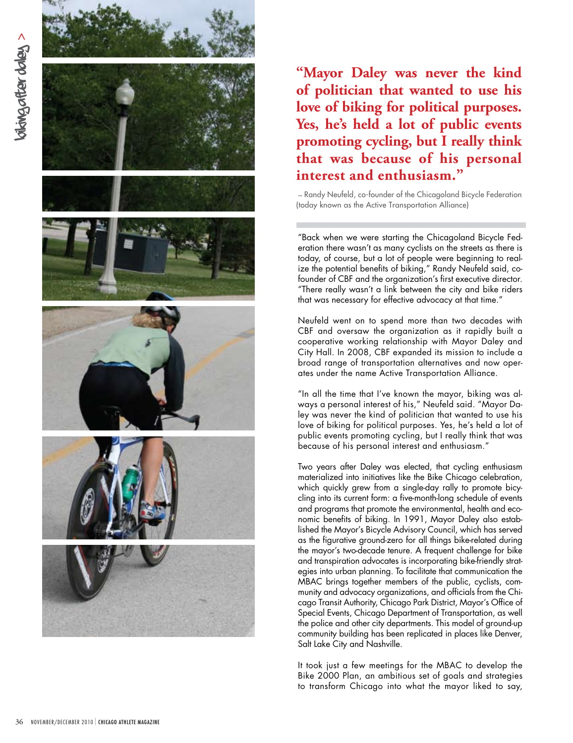



**"Mayor Daley was never the kind of politician that wanted to use his love of biking for political purposes. Yes, he's held a lot of public events promoting cycling, but I really think that was because of his personal interest and enthusiasm."**

– Randy Neufeld, co-founder of the Chicagoland Bicycle Federation (today known as the Active Transportation Alliance)

"Back when we were starting the Chicagoland Bicycle Fed eration there wasn't as many cyclists on the streets as there is today, of course, but a lot of people were beginning to real ize the potential benefits of biking," Randy Neufeld said, cofounder of CBF and the organization's first executive director. "There really wasn't a link between the city and bike riders that was necessary for effective advocacy at that time."

Neufeld went on to spend more than two decades with CBF and oversaw the organization as it rapidly built a cooperative working relationship with Mayor Daley and City Hall. In 2008, CBF expanded its mission to include a broad range of transportation alternatives and now oper ates under the name Active Transportation Alliance.

"In all the time that I've known the mayor, biking was al ways a personal interest of his," Neufeld said. "Mayor Da ley was never the kind of politician that wanted to use his love of biking for political purposes. Yes, he's held a lot of public events promoting cycling, but I really think that was because of his personal interest and enthusiasm."

Two years after Daley was elected, that cycling enthusiasm materialized into initiatives like the Bike Chicago celebration, which quickly grew from a single-day rally to promote bicycling into its current form: a five-month-long schedule of events and programs that promote the environmental, health and eco nomic benefits of biking. In 1991, Mayor Daley also estab lished the Mayor's Bicycle Advisory Council, which has served as the figurative ground-zero for all things bike-related during the mayor's two-decade tenure. A frequent challenge for bike and transpiration advocates is incorporating bike-friendly strategies into urban planning. To facilitate that communication the MBAC brings together members of the public, cyclists, com munity and advocacy organizations, and officials from the Chi cago Transit Authority, Chicago Park District, Mayor's Office of Special Events, Chicago Department of Transportation, as well the police and other city departments. This model of ground-up community building has been replicated in places like Denver, Salt Lake City and Nashville.

It took just a few meetings for the MBAC to develop the Bike 2000 Plan, an ambitious set of goals and strategies to transform Chicago into what the mayor liked to say,